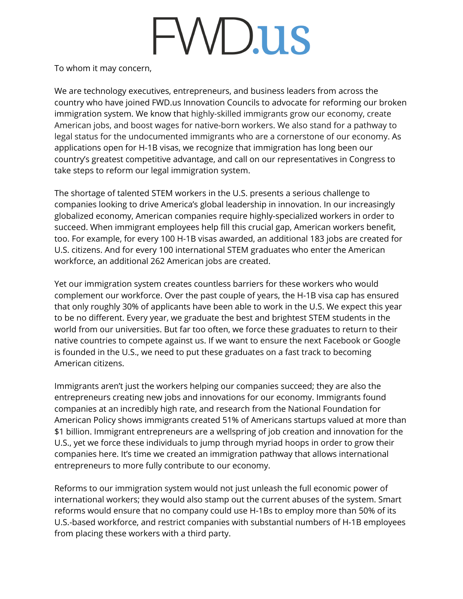## FWD.us

To whom it may concern,

We are technology executives, entrepreneurs, and business leaders from across the country who have joined FWD.us Innovation Councils to advocate for reforming our broken immigration system. We know that highly-skilled immigrants grow our economy, create American jobs, and boost wages for native-born workers. We also stand for a pathway to legal status for the undocumented immigrants who are a cornerstone of our economy. As applications open for H-1B visas, we recognize that immigration has long been our country's greatest competitive advantage, and call on our representatives in Congress to take steps to reform our legal immigration system.

The shortage of talented STEM workers in the U.S. presents a serious challenge to companies looking to drive America's global leadership in innovation. In our increasingly globalized economy, American companies require highly-specialized workers in order to succeed. When immigrant employees help fill this crucial gap, American workers benefit, too. For example, for every 100 H-1B visas awarded, an additional 183 jobs are created for U.S. citizens. And for every 100 international STEM graduates who enter the American workforce, an additional 262 American jobs are created.

Yet our immigration system creates countless barriers for these workers who would complement our workforce. Over the past couple of years, the H-1B visa cap has ensured that only roughly 30% of applicants have been able to work in the U.S. We expect this year to be no different. Every year, we graduate the best and brightest STEM students in the world from our universities. But far too often, we force these graduates to return to their native countries to compete against us. If we want to ensure the next Facebook or Google is founded in the U.S., we need to put these graduates on a fast track to becoming American citizens.

Immigrants aren't just the workers helping our companies succeed; they are also the entrepreneurs creating new jobs and innovations for our economy. Immigrants found companies at an incredibly high rate, and research from the National Foundation for American Policy shows immigrants created 51% of Americans startups valued at more than \$1 billion. Immigrant entrepreneurs are a wellspring of job creation and innovation for the U.S., yet we force these individuals to jump through myriad hoops in order to grow their companies here. It's time we created an immigration pathway that allows international entrepreneurs to more fully contribute to our economy.

Reforms to our immigration system would not just unleash the full economic power of international workers; they would also stamp out the current abuses of the system. Smart reforms would ensure that no company could use H-1Bs to employ more than 50% of its U.S.-based workforce, and restrict companies with substantial numbers of H-1B employees from placing these workers with a third party.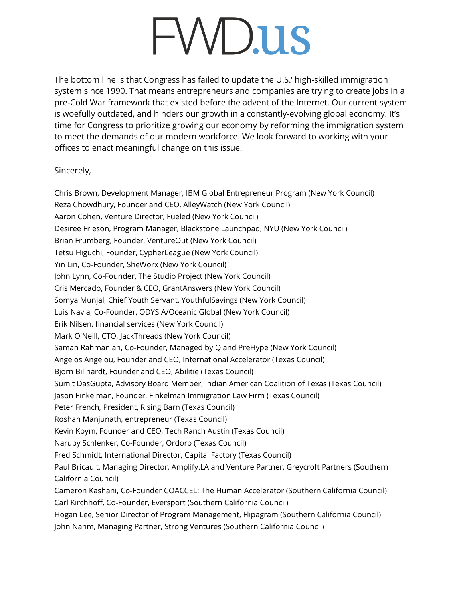## -WD.us

The bottom line is that Congress has failed to update the U.S.' high-skilled immigration system since 1990. That means entrepreneurs and companies are trying to create jobs in a pre-Cold War framework that existed before the advent of the Internet. Our current system is woefully outdated, and hinders our growth in a constantly-evolving global economy. It's time for Congress to prioritize growing our economy by reforming the immigration system to meet the demands of our modern workforce. We look forward to working with your offices to enact meaningful change on this issue.

## Sincerely,

Chris Brown, Development Manager, IBM Global Entrepreneur Program (New York Council) Reza Chowdhury, Founder and CEO, AlleyWatch (New York Council) Aaron Cohen, Venture Director, Fueled (New York Council) Desiree Frieson, Program Manager, Blackstone Launchpad, NYU (New York Council) Brian Frumberg, Founder, VentureOut (New York Council) Tetsu Higuchi, Founder, CypherLeague (New York Council) Yin Lin, Co-Founder, SheWorx (New York Council) John Lynn, Co-Founder, The Studio Project (New York Council) Cris Mercado, Founder & CEO, GrantAnswers (New York Council) Somya Munjal, Chief Youth Servant, YouthfulSavings (New York Council) Luis Navia, Co-Founder, ODYSIA/Oceanic Global (New York Council) Erik Nilsen, financial services (New York Council) Mark O'Neill, CTO, JackThreads (New York Council) Saman Rahmanian, Co-Founder, Managed by Q and PreHype (New York Council) Angelos Angelou, Founder and CEO, International Accelerator (Texas Council) Bjorn Billhardt, Founder and CEO, Abilitie (Texas Council) Sumit DasGupta, Advisory Board Member, Indian American Coalition of Texas (Texas Council) Jason Finkelman, Founder, Finkelman Immigration Law Firm (Texas Council) Peter French, President, Rising Barn (Texas Council) Roshan Manjunath, entrepreneur (Texas Council) Kevin Koym, Founder and CEO, Tech Ranch Austin (Texas Council) Naruby Schlenker, Co-Founder, Ordoro (Texas Council) Fred Schmidt, International Director, Capital Factory (Texas Council) Paul Bricault, Managing Director, Amplify.LA and Venture Partner, Greycroft Partners (Southern California Council) Cameron Kashani, Co-Founder COACCEL: The Human Accelerator (Southern California Council) Carl Kirchhoff, Co-Founder, Eversport (Southern California Council) Hogan Lee, Senior Director of Program Management, Flipagram (Southern California Council) John Nahm, Managing Partner, Strong Ventures (Southern California Council)